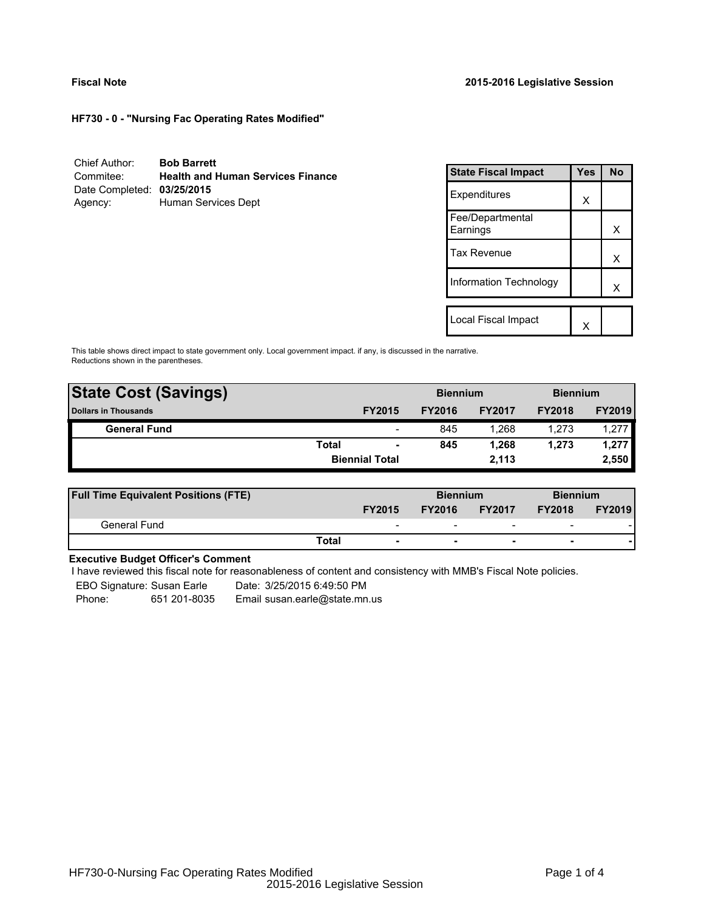**HF730 - 0 - "Nursing Fac Operating Rates Modified"**

| Chief Author:              | <b>Bob Barrett</b>                       |
|----------------------------|------------------------------------------|
| Commitee:                  | <b>Health and Human Services Finance</b> |
| Date Completed: 03/25/2015 |                                          |
| Agency:                    | Human Services Dept                      |

| <b>State Fiscal Impact</b>   | Yes | <b>No</b> |
|------------------------------|-----|-----------|
| Expenditures                 | X   |           |
| Fee/Departmental<br>Earnings |     | x         |
| <b>Tax Revenue</b>           |     | x         |
| Information Technology       |     | x         |
| Local Fiscal Impact          |     |           |
|                              |     |           |

This table shows direct impact to state government only. Local government impact. if any, is discussed in the narrative. Reductions shown in the parentheses.

| <b>State Cost (Savings)</b> |       |                          | <b>Biennium</b> |               | <b>Biennium</b> |               |  |
|-----------------------------|-------|--------------------------|-----------------|---------------|-----------------|---------------|--|
| <b>Dollars in Thousands</b> |       | <b>FY2015</b>            | <b>FY2016</b>   | <b>FY2017</b> | <b>FY2018</b>   | <b>FY2019</b> |  |
| <b>General Fund</b>         |       | $\overline{\phantom{0}}$ | 845             | 1.268         | 1.273           | 1,277         |  |
|                             | Total | $\blacksquare$           | 845             | 1.268         | 1.273           | 1,277         |  |
|                             |       | <b>Biennial Total</b>    |                 | 2.113         |                 | 2,550         |  |
|                             |       |                          |                 |               |                 |               |  |

| <b>Full Time Equivalent Positions (FTE)</b> |                          | <b>Biennium</b> |                          |                          | <b>Biennium</b> |
|---------------------------------------------|--------------------------|-----------------|--------------------------|--------------------------|-----------------|
|                                             | <b>FY2015</b>            | <b>FY2016</b>   | <b>FY2017</b>            | <b>FY2018</b>            | <b>FY2019</b>   |
| General Fund                                | $\overline{\phantom{0}}$ | -               | $\overline{\phantom{0}}$ | $\overline{\phantom{a}}$ |                 |
|                                             | Total                    |                 | $\overline{\phantom{0}}$ | $\overline{\phantom{0}}$ |                 |

# **Executive Budget Officer's Comment**

I have reviewed this fiscal note for reasonableness of content and consistency with MMB's Fiscal Note policies.

EBO Signature: Susan Earle Date: 3/25/2015 6:49:50 PM

Phone: 651 201-8035 Email susan.earle@state.mn.us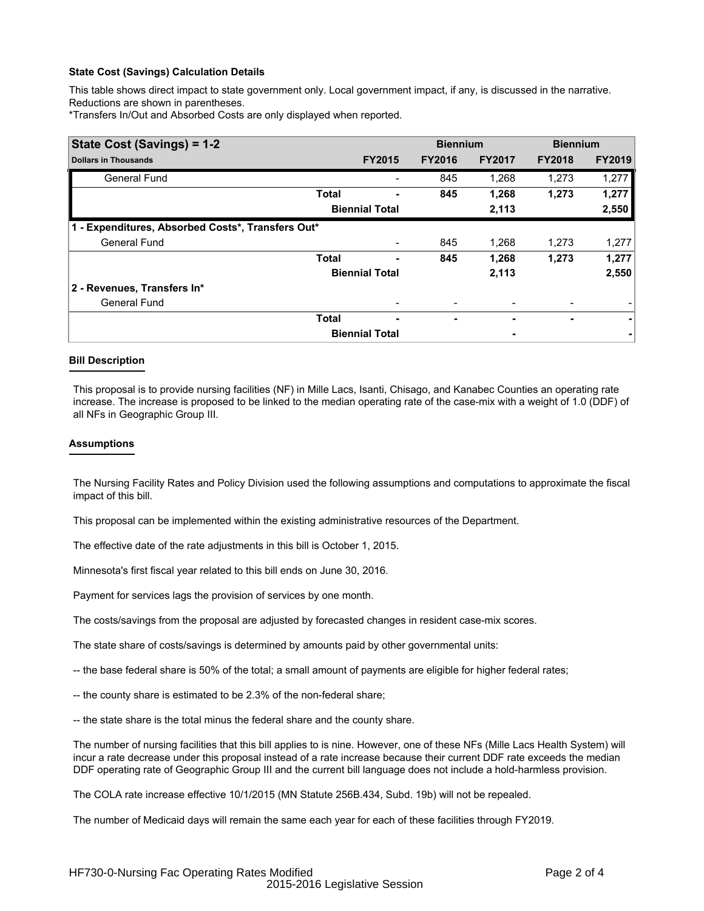## **State Cost (Savings) Calculation Details**

This table shows direct impact to state government only. Local government impact, if any, is discussed in the narrative. Reductions are shown in parentheses.

\*Transfers In/Out and Absorbed Costs are only displayed when reported.

| State Cost (Savings) = 1-2                        |              |                       | <b>Biennium</b> |               | <b>Biennium</b> |               |
|---------------------------------------------------|--------------|-----------------------|-----------------|---------------|-----------------|---------------|
| <b>Dollars in Thousands</b>                       |              | <b>FY2015</b>         | <b>FY2016</b>   | <b>FY2017</b> | <b>FY2018</b>   | <b>FY2019</b> |
| <b>General Fund</b>                               |              |                       | 845             | 1,268         | 1,273           | 1,277         |
|                                                   | <b>Total</b> |                       | 845             | 1,268         | 1,273           | 1,277         |
|                                                   |              | <b>Biennial Total</b> |                 | 2,113         |                 | 2,550         |
| 1 - Expenditures, Absorbed Costs*, Transfers Out* |              |                       |                 |               |                 |               |
| <b>General Fund</b>                               |              |                       | 845             | 1,268         | 1,273           | 1,277         |
|                                                   | <b>Total</b> |                       | 845             | 1,268         | 1,273           | 1,277         |
|                                                   |              | <b>Biennial Total</b> |                 | 2,113         |                 | 2,550         |
| 2 - Revenues, Transfers In*                       |              |                       |                 |               |                 |               |
| <b>General Fund</b>                               |              |                       |                 |               |                 |               |
|                                                   | <b>Total</b> | ۰                     | ۰               | ٠             | ۰               | ۰             |
|                                                   |              | <b>Biennial Total</b> |                 |               |                 |               |

## **Bill Description**

This proposal is to provide nursing facilities (NF) in Mille Lacs, Isanti, Chisago, and Kanabec Counties an operating rate increase. The increase is proposed to be linked to the median operating rate of the case-mix with a weight of 1.0 (DDF) of all NFs in Geographic Group III.

### **Assumptions**

The Nursing Facility Rates and Policy Division used the following assumptions and computations to approximate the fiscal impact of this bill.

This proposal can be implemented within the existing administrative resources of the Department.

The effective date of the rate adjustments in this bill is October 1, 2015.

Minnesota's first fiscal year related to this bill ends on June 30, 2016.

Payment for services lags the provision of services by one month.

The costs/savings from the proposal are adjusted by forecasted changes in resident case-mix scores.

The state share of costs/savings is determined by amounts paid by other governmental units:

-- the base federal share is 50% of the total; a small amount of payments are eligible for higher federal rates;

- -- the county share is estimated to be 2.3% of the non-federal share;
- -- the state share is the total minus the federal share and the county share.

The number of nursing facilities that this bill applies to is nine. However, one of these NFs (Mille Lacs Health System) will incur a rate decrease under this proposal instead of a rate increase because their current DDF rate exceeds the median DDF operating rate of Geographic Group III and the current bill language does not include a hold-harmless provision.

The COLA rate increase effective 10/1/2015 (MN Statute 256B.434, Subd. 19b) will not be repealed.

The number of Medicaid days will remain the same each year for each of these facilities through FY2019.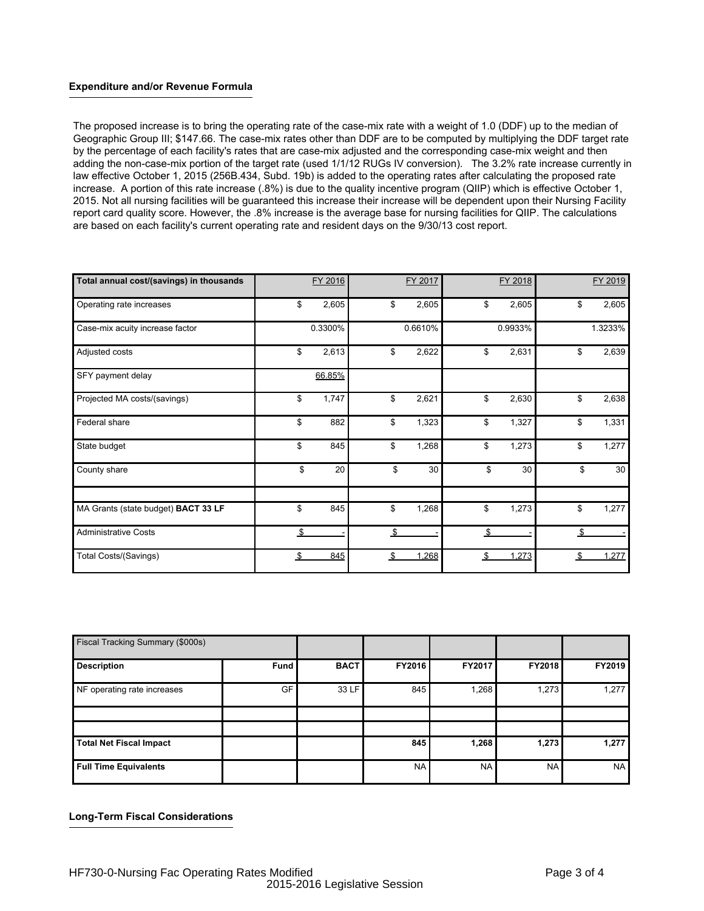## **Expenditure and/or Revenue Formula**

The proposed increase is to bring the operating rate of the case-mix rate with a weight of 1.0 (DDF) up to the median of Geographic Group III; \$147.66. The case-mix rates other than DDF are to be computed by multiplying the DDF target rate by the percentage of each facility's rates that are case-mix adjusted and the corresponding case-mix weight and then adding the non-case-mix portion of the target rate (used 1/1/12 RUGs IV conversion). The 3.2% rate increase currently in law effective October 1, 2015 (256B.434, Subd. 19b) is added to the operating rates after calculating the proposed rate increase. A portion of this rate increase (.8%) is due to the quality incentive program (QIIP) which is effective October 1, 2015. Not all nursing facilities will be guaranteed this increase their increase will be dependent upon their Nursing Facility report card quality score. However, the .8% increase is the average base for nursing facilities for QIIP. The calculations are based on each facility's current operating rate and resident days on the 9/30/13 cost report.

| Total annual cost/(savings) in thousands | FY 2016     | FY 2017     | FY 2018     |    | FY 2019 |
|------------------------------------------|-------------|-------------|-------------|----|---------|
| Operating rate increases                 | \$<br>2,605 | \$<br>2,605 | \$<br>2,605 | \$ | 2,605   |
| Case-mix acuity increase factor          | 0.3300%     | 0.6610%     | 0.9933%     |    | 1.3233% |
| Adjusted costs                           | \$<br>2,613 | \$<br>2,622 | \$<br>2,631 | \$ | 2,639   |
| SFY payment delay                        | 66.85%      |             |             |    |         |
| Projected MA costs/(savings)             | \$<br>1,747 | \$<br>2,621 | \$<br>2,630 | \$ | 2,638   |
| Federal share                            | \$<br>882   | \$<br>1,323 | \$<br>1,327 | \$ | 1,331   |
| State budget                             | \$<br>845   | \$<br>1,268 | \$<br>1,273 | \$ | 1,277   |
| County share                             | \$<br>20    | \$<br>30    | \$<br>30    | \$ | 30      |
| MA Grants (state budget) BACT 33 LF      | \$<br>845   | \$<br>1,268 | \$<br>1,273 | \$ | 1,277   |
| <b>Administrative Costs</b>              | \$          | \$          | \$          | \$ |         |
| Total Costs/(Savings)                    | \$<br>845   | \$<br>1,268 | \$<br>1,273 | S. | 1,277   |

| Fiscal Tracking Summary (\$000s) |           |             |           |           |               |           |
|----------------------------------|-----------|-------------|-----------|-----------|---------------|-----------|
| <b>Description</b>               | Fund      | <b>BACT</b> | FY2016    | FY2017    | <b>FY2018</b> | FY2019    |
| NF operating rate increases      | <b>GF</b> | 33 LF       | 845       | 1,268     | 1,273         | 1,277     |
|                                  |           |             |           |           |               |           |
| <b>Total Net Fiscal Impact</b>   |           |             | 845       | 1,268     | 1,273         | 1,277     |
| <b>Full Time Equivalents</b>     |           |             | <b>NA</b> | <b>NA</b> | <b>NA</b>     | <b>NA</b> |

**Long-Term Fiscal Considerations**